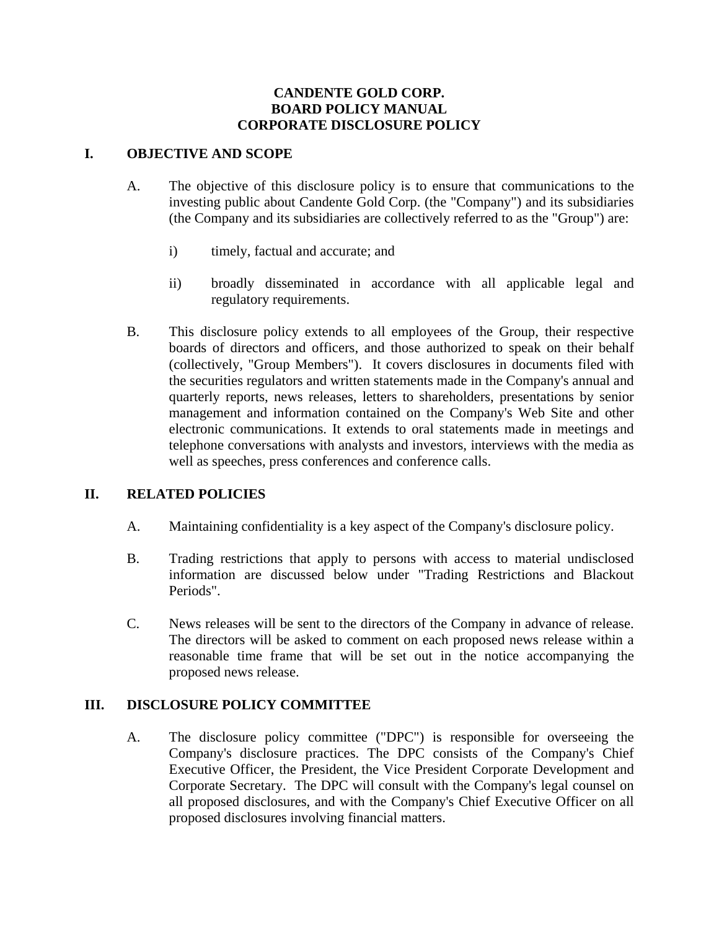#### **CANDENTE GOLD CORP. BOARD POLICY MANUAL CORPORATE DISCLOSURE POLICY**

### **I. OBJECTIVE AND SCOPE**

- A. The objective of this disclosure policy is to ensure that communications to the investing public about Candente Gold Corp. (the "Company") and its subsidiaries (the Company and its subsidiaries are collectively referred to as the "Group") are:
	- i) timely, factual and accurate; and
	- ii) broadly disseminated in accordance with all applicable legal and regulatory requirements.
- B. This disclosure policy extends to all employees of the Group, their respective boards of directors and officers, and those authorized to speak on their behalf (collectively, "Group Members"). It covers disclosures in documents filed with the securities regulators and written statements made in the Company's annual and quarterly reports, news releases, letters to shareholders, presentations by senior management and information contained on the Company's Web Site and other electronic communications. It extends to oral statements made in meetings and telephone conversations with analysts and investors, interviews with the media as well as speeches, press conferences and conference calls.

#### **II. RELATED POLICIES**

- A. Maintaining confidentiality is a key aspect of the Company's disclosure policy.
- B. Trading restrictions that apply to persons with access to material undisclosed information are discussed below under "Trading Restrictions and Blackout Periods".
- C. News releases will be sent to the directors of the Company in advance of release. The directors will be asked to comment on each proposed news release within a reasonable time frame that will be set out in the notice accompanying the proposed news release.

#### **III. DISCLOSURE POLICY COMMITTEE**

A. The disclosure policy committee ("DPC") is responsible for overseeing the Company's disclosure practices. The DPC consists of the Company's Chief Executive Officer, the President, the Vice President Corporate Development and Corporate Secretary. The DPC will consult with the Company's legal counsel on all proposed disclosures, and with the Company's Chief Executive Officer on all proposed disclosures involving financial matters.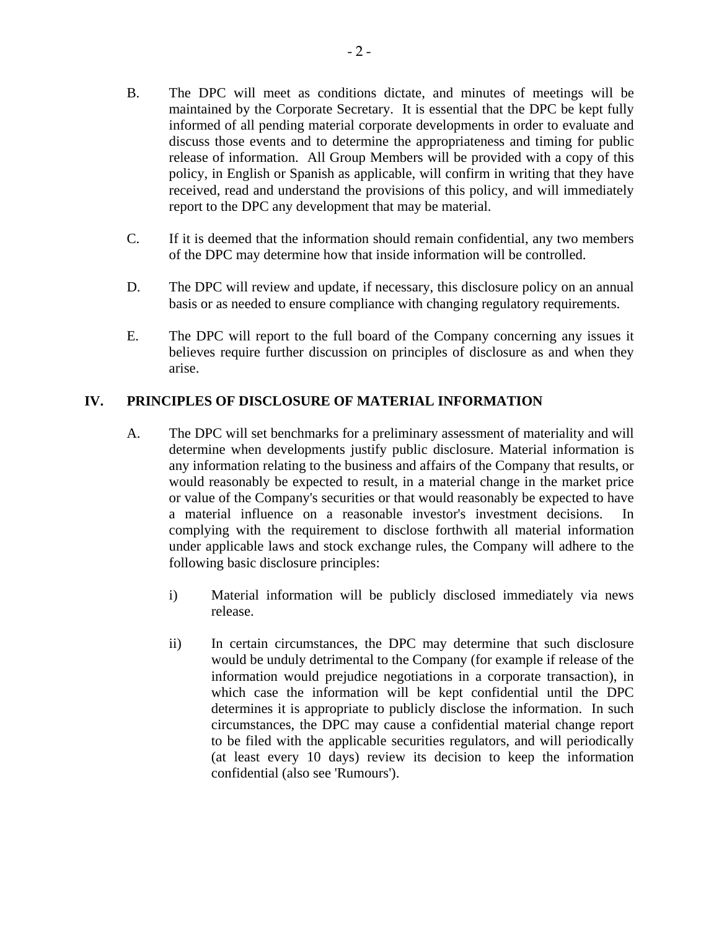- B. The DPC will meet as conditions dictate, and minutes of meetings will be maintained by the Corporate Secretary. It is essential that the DPC be kept fully informed of all pending material corporate developments in order to evaluate and discuss those events and to determine the appropriateness and timing for public release of information. All Group Members will be provided with a copy of this policy, in English or Spanish as applicable, will confirm in writing that they have received, read and understand the provisions of this policy, and will immediately report to the DPC any development that may be material.
- C. If it is deemed that the information should remain confidential, any two members of the DPC may determine how that inside information will be controlled.
- D. The DPC will review and update, if necessary, this disclosure policy on an annual basis or as needed to ensure compliance with changing regulatory requirements.
- E. The DPC will report to the full board of the Company concerning any issues it believes require further discussion on principles of disclosure as and when they arise.

## **IV. PRINCIPLES OF DISCLOSURE OF MATERIAL INFORMATION**

- A. The DPC will set benchmarks for a preliminary assessment of materiality and will determine when developments justify public disclosure. Material information is any information relating to the business and affairs of the Company that results, or would reasonably be expected to result, in a material change in the market price or value of the Company's securities or that would reasonably be expected to have a material influence on a reasonable investor's investment decisions. In complying with the requirement to disclose forthwith all material information under applicable laws and stock exchange rules, the Company will adhere to the following basic disclosure principles:
	- i) Material information will be publicly disclosed immediately via news release.
	- ii) In certain circumstances, the DPC may determine that such disclosure would be unduly detrimental to the Company (for example if release of the information would prejudice negotiations in a corporate transaction), in which case the information will be kept confidential until the DPC determines it is appropriate to publicly disclose the information. In such circumstances, the DPC may cause a confidential material change report to be filed with the applicable securities regulators, and will periodically (at least every 10 days) review its decision to keep the information confidential (also see 'Rumours').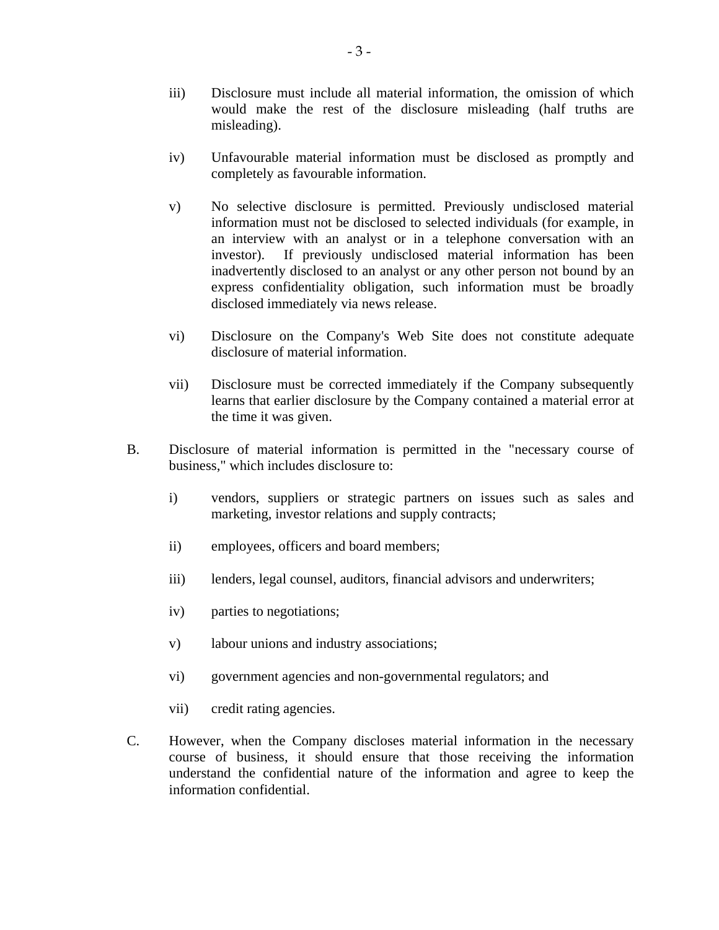- iii) Disclosure must include all material information, the omission of which would make the rest of the disclosure misleading (half truths are misleading).
- iv) Unfavourable material information must be disclosed as promptly and completely as favourable information.
- v) No selective disclosure is permitted. Previously undisclosed material information must not be disclosed to selected individuals (for example, in an interview with an analyst or in a telephone conversation with an investor). If previously undisclosed material information has been inadvertently disclosed to an analyst or any other person not bound by an express confidentiality obligation, such information must be broadly disclosed immediately via news release.
- vi) Disclosure on the Company's Web Site does not constitute adequate disclosure of material information.
- vii) Disclosure must be corrected immediately if the Company subsequently learns that earlier disclosure by the Company contained a material error at the time it was given.
- B. Disclosure of material information is permitted in the "necessary course of business," which includes disclosure to:
	- i) vendors, suppliers or strategic partners on issues such as sales and marketing, investor relations and supply contracts;
	- ii) employees, officers and board members;
	- iii) lenders, legal counsel, auditors, financial advisors and underwriters;
	- iv) parties to negotiations;
	- v) labour unions and industry associations;
	- vi) government agencies and non-governmental regulators; and
	- vii) credit rating agencies.
- C. However, when the Company discloses material information in the necessary course of business, it should ensure that those receiving the information understand the confidential nature of the information and agree to keep the information confidential.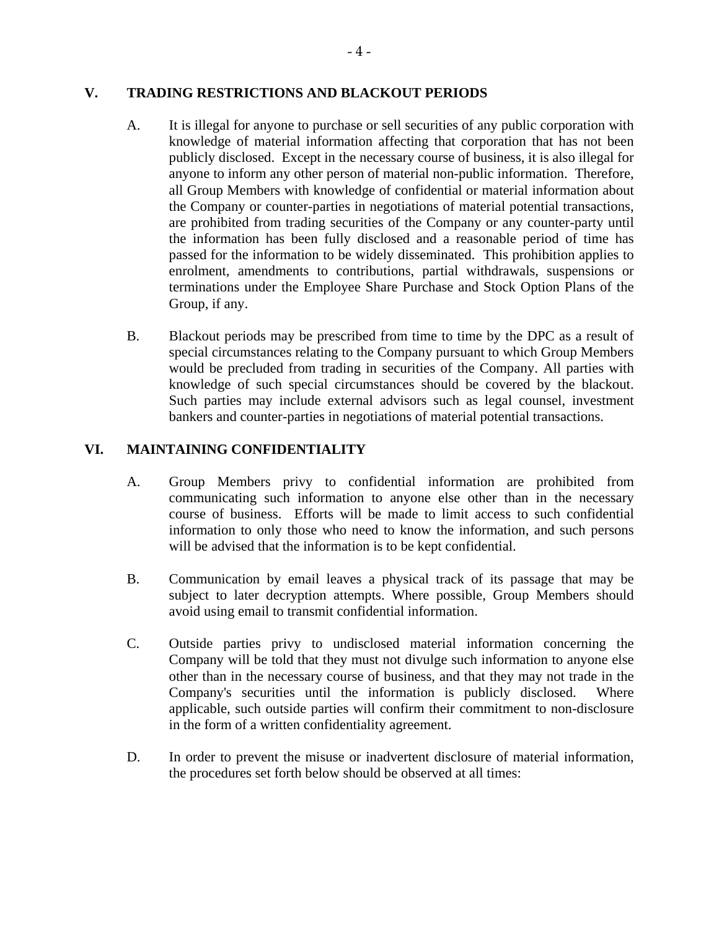### **V. TRADING RESTRICTIONS AND BLACKOUT PERIODS**

- A. It is illegal for anyone to purchase or sell securities of any public corporation with knowledge of material information affecting that corporation that has not been publicly disclosed. Except in the necessary course of business, it is also illegal for anyone to inform any other person of material non-public information. Therefore, all Group Members with knowledge of confidential or material information about the Company or counter-parties in negotiations of material potential transactions, are prohibited from trading securities of the Company or any counter-party until the information has been fully disclosed and a reasonable period of time has passed for the information to be widely disseminated. This prohibition applies to enrolment, amendments to contributions, partial withdrawals, suspensions or terminations under the Employee Share Purchase and Stock Option Plans of the Group, if any.
- B. Blackout periods may be prescribed from time to time by the DPC as a result of special circumstances relating to the Company pursuant to which Group Members would be precluded from trading in securities of the Company. All parties with knowledge of such special circumstances should be covered by the blackout. Such parties may include external advisors such as legal counsel, investment bankers and counter-parties in negotiations of material potential transactions.

# **VI. MAINTAINING CONFIDENTIALITY**

- A. Group Members privy to confidential information are prohibited from communicating such information to anyone else other than in the necessary course of business. Efforts will be made to limit access to such confidential information to only those who need to know the information, and such persons will be advised that the information is to be kept confidential.
- B. Communication by email leaves a physical track of its passage that may be subject to later decryption attempts. Where possible, Group Members should avoid using email to transmit confidential information.
- C. Outside parties privy to undisclosed material information concerning the Company will be told that they must not divulge such information to anyone else other than in the necessary course of business, and that they may not trade in the Company's securities until the information is publicly disclosed. Where applicable, such outside parties will confirm their commitment to non-disclosure in the form of a written confidentiality agreement.
- D. In order to prevent the misuse or inadvertent disclosure of material information, the procedures set forth below should be observed at all times: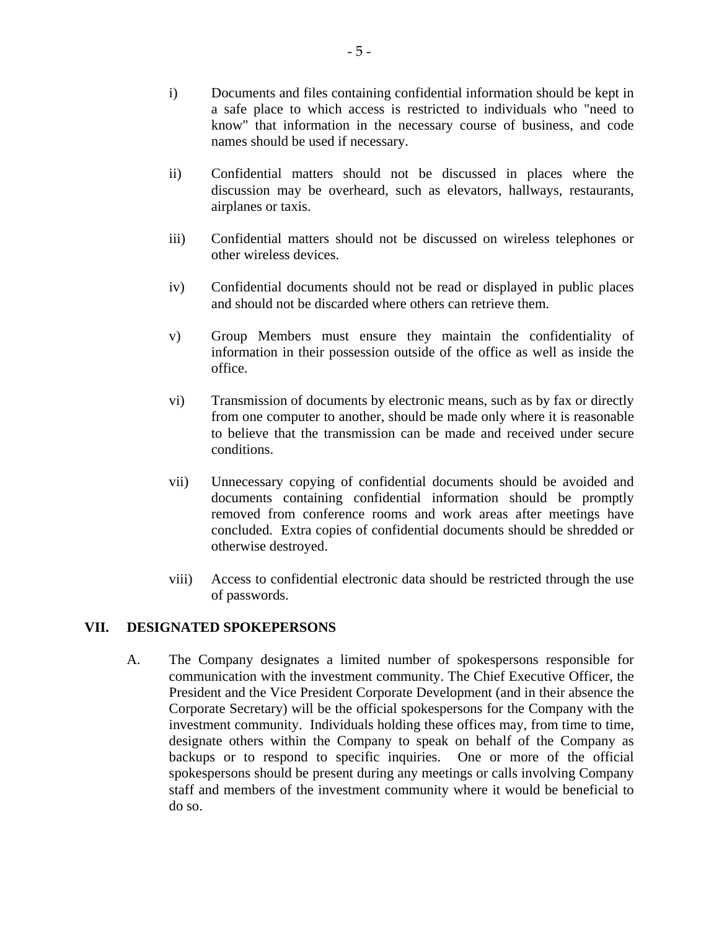- i) Documents and files containing confidential information should be kept in a safe place to which access is restricted to individuals who "need to know" that information in the necessary course of business, and code names should be used if necessary.
- ii) Confidential matters should not be discussed in places where the discussion may be overheard, such as elevators, hallways, restaurants, airplanes or taxis.
- iii) Confidential matters should not be discussed on wireless telephones or other wireless devices.
- iv) Confidential documents should not be read or displayed in public places and should not be discarded where others can retrieve them.
- v) Group Members must ensure they maintain the confidentiality of information in their possession outside of the office as well as inside the office.
- vi) Transmission of documents by electronic means, such as by fax or directly from one computer to another, should be made only where it is reasonable to believe that the transmission can be made and received under secure conditions.
- vii) Unnecessary copying of confidential documents should be avoided and documents containing confidential information should be promptly removed from conference rooms and work areas after meetings have concluded. Extra copies of confidential documents should be shredded or otherwise destroyed.
- viii) Access to confidential electronic data should be restricted through the use of passwords.

#### **VII. DESIGNATED SPOKEPERSONS**

A. The Company designates a limited number of spokespersons responsible for communication with the investment community. The Chief Executive Officer, the President and the Vice President Corporate Development (and in their absence the Corporate Secretary) will be the official spokespersons for the Company with the investment community. Individuals holding these offices may, from time to time, designate others within the Company to speak on behalf of the Company as backups or to respond to specific inquiries. One or more of the official spokespersons should be present during any meetings or calls involving Company staff and members of the investment community where it would be beneficial to do so.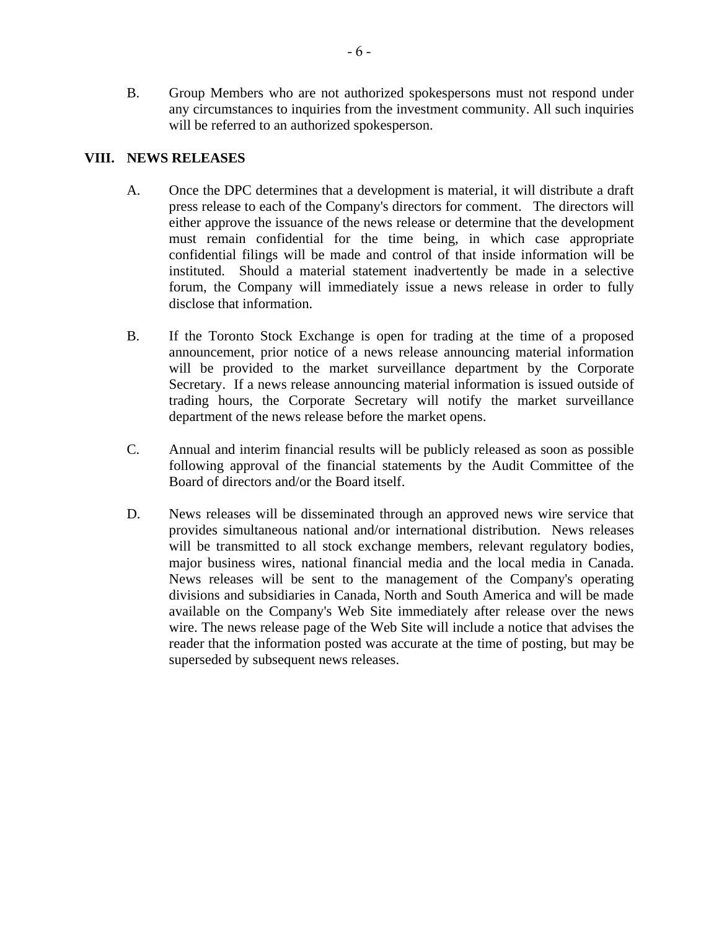B. Group Members who are not authorized spokespersons must not respond under any circumstances to inquiries from the investment community. All such inquiries will be referred to an authorized spokesperson.

## **VIII. NEWS RELEASES**

- A. Once the DPC determines that a development is material, it will distribute a draft press release to each of the Company's directors for comment. The directors will either approve the issuance of the news release or determine that the development must remain confidential for the time being, in which case appropriate confidential filings will be made and control of that inside information will be instituted. Should a material statement inadvertently be made in a selective forum, the Company will immediately issue a news release in order to fully disclose that information.
- B. If the Toronto Stock Exchange is open for trading at the time of a proposed announcement, prior notice of a news release announcing material information will be provided to the market surveillance department by the Corporate Secretary. If a news release announcing material information is issued outside of trading hours, the Corporate Secretary will notify the market surveillance department of the news release before the market opens.
- C. Annual and interim financial results will be publicly released as soon as possible following approval of the financial statements by the Audit Committee of the Board of directors and/or the Board itself.
- D. News releases will be disseminated through an approved news wire service that provides simultaneous national and/or international distribution. News releases will be transmitted to all stock exchange members, relevant regulatory bodies, major business wires, national financial media and the local media in Canada. News releases will be sent to the management of the Company's operating divisions and subsidiaries in Canada, North and South America and will be made available on the Company's Web Site immediately after release over the news wire. The news release page of the Web Site will include a notice that advises the reader that the information posted was accurate at the time of posting, but may be superseded by subsequent news releases.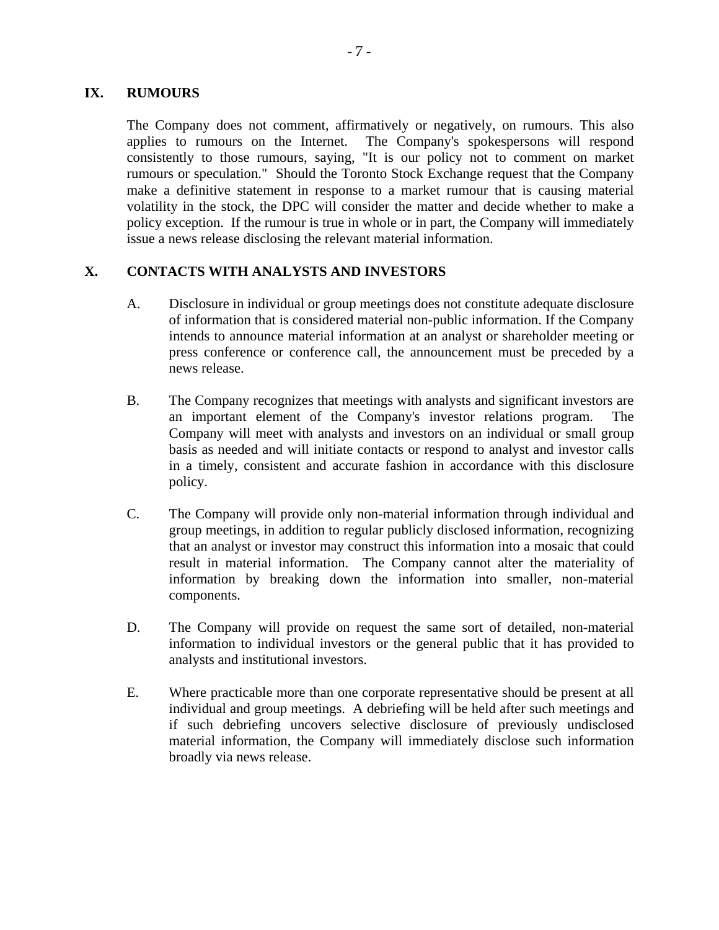### **IX. RUMOURS**

The Company does not comment, affirmatively or negatively, on rumours. This also applies to rumours on the Internet. The Company's spokespersons will respond consistently to those rumours, saying, "It is our policy not to comment on market rumours or speculation." Should the Toronto Stock Exchange request that the Company make a definitive statement in response to a market rumour that is causing material volatility in the stock, the DPC will consider the matter and decide whether to make a policy exception. If the rumour is true in whole or in part, the Company will immediately issue a news release disclosing the relevant material information.

# **X. CONTACTS WITH ANALYSTS AND INVESTORS**

- A. Disclosure in individual or group meetings does not constitute adequate disclosure of information that is considered material non-public information. If the Company intends to announce material information at an analyst or shareholder meeting or press conference or conference call, the announcement must be preceded by a news release.
- B. The Company recognizes that meetings with analysts and significant investors are an important element of the Company's investor relations program. The Company will meet with analysts and investors on an individual or small group basis as needed and will initiate contacts or respond to analyst and investor calls in a timely, consistent and accurate fashion in accordance with this disclosure policy.
- C. The Company will provide only non-material information through individual and group meetings, in addition to regular publicly disclosed information, recognizing that an analyst or investor may construct this information into a mosaic that could result in material information. The Company cannot alter the materiality of information by breaking down the information into smaller, non-material components.
- D. The Company will provide on request the same sort of detailed, non-material information to individual investors or the general public that it has provided to analysts and institutional investors.
- E. Where practicable more than one corporate representative should be present at all individual and group meetings. A debriefing will be held after such meetings and if such debriefing uncovers selective disclosure of previously undisclosed material information, the Company will immediately disclose such information broadly via news release.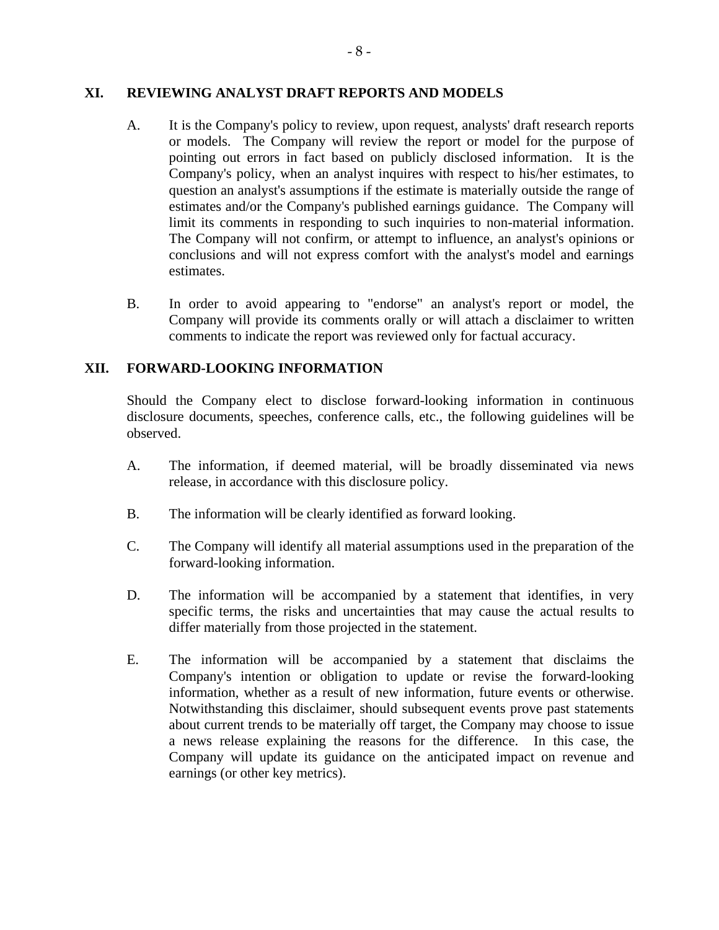#### **XI. REVIEWING ANALYST DRAFT REPORTS AND MODELS**

- A. It is the Company's policy to review, upon request, analysts' draft research reports or models. The Company will review the report or model for the purpose of pointing out errors in fact based on publicly disclosed information. It is the Company's policy, when an analyst inquires with respect to his/her estimates, to question an analyst's assumptions if the estimate is materially outside the range of estimates and/or the Company's published earnings guidance. The Company will limit its comments in responding to such inquiries to non-material information. The Company will not confirm, or attempt to influence, an analyst's opinions or conclusions and will not express comfort with the analyst's model and earnings estimates.
- B. In order to avoid appearing to "endorse" an analyst's report or model, the Company will provide its comments orally or will attach a disclaimer to written comments to indicate the report was reviewed only for factual accuracy.

## **XII. FORWARD-LOOKING INFORMATION**

Should the Company elect to disclose forward-looking information in continuous disclosure documents, speeches, conference calls, etc., the following guidelines will be observed.

- A. The information, if deemed material, will be broadly disseminated via news release, in accordance with this disclosure policy.
- B. The information will be clearly identified as forward looking.
- C. The Company will identify all material assumptions used in the preparation of the forward-looking information.
- D. The information will be accompanied by a statement that identifies, in very specific terms, the risks and uncertainties that may cause the actual results to differ materially from those projected in the statement.
- E. The information will be accompanied by a statement that disclaims the Company's intention or obligation to update or revise the forward-looking information, whether as a result of new information, future events or otherwise. Notwithstanding this disclaimer, should subsequent events prove past statements about current trends to be materially off target, the Company may choose to issue a news release explaining the reasons for the difference. In this case, the Company will update its guidance on the anticipated impact on revenue and earnings (or other key metrics).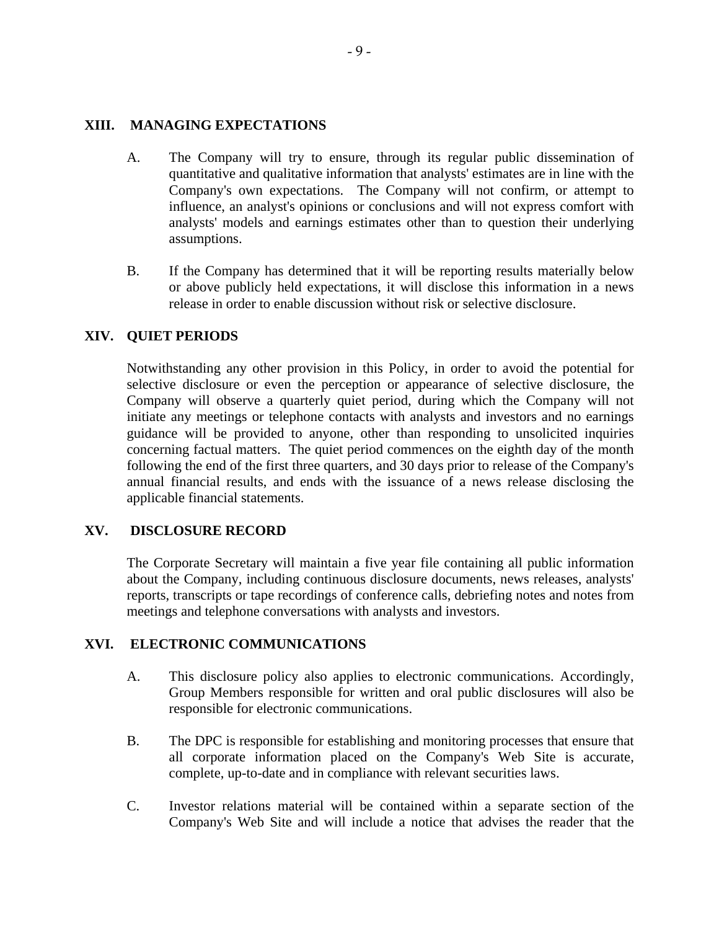#### **XIII. MANAGING EXPECTATIONS**

- A. The Company will try to ensure, through its regular public dissemination of quantitative and qualitative information that analysts' estimates are in line with the Company's own expectations. The Company will not confirm, or attempt to influence, an analyst's opinions or conclusions and will not express comfort with analysts' models and earnings estimates other than to question their underlying assumptions.
- B. If the Company has determined that it will be reporting results materially below or above publicly held expectations, it will disclose this information in a news release in order to enable discussion without risk or selective disclosure.

#### **XIV. QUIET PERIODS**

Notwithstanding any other provision in this Policy, in order to avoid the potential for selective disclosure or even the perception or appearance of selective disclosure, the Company will observe a quarterly quiet period, during which the Company will not initiate any meetings or telephone contacts with analysts and investors and no earnings guidance will be provided to anyone, other than responding to unsolicited inquiries concerning factual matters. The quiet period commences on the eighth day of the month following the end of the first three quarters, and 30 days prior to release of the Company's annual financial results, and ends with the issuance of a news release disclosing the applicable financial statements.

#### **XV. DISCLOSURE RECORD**

The Corporate Secretary will maintain a five year file containing all public information about the Company, including continuous disclosure documents, news releases, analysts' reports, transcripts or tape recordings of conference calls, debriefing notes and notes from meetings and telephone conversations with analysts and investors.

#### **XVI. ELECTRONIC COMMUNICATIONS**

- A. This disclosure policy also applies to electronic communications. Accordingly, Group Members responsible for written and oral public disclosures will also be responsible for electronic communications.
- B. The DPC is responsible for establishing and monitoring processes that ensure that all corporate information placed on the Company's Web Site is accurate, complete, up-to-date and in compliance with relevant securities laws.
- C. Investor relations material will be contained within a separate section of the Company's Web Site and will include a notice that advises the reader that the